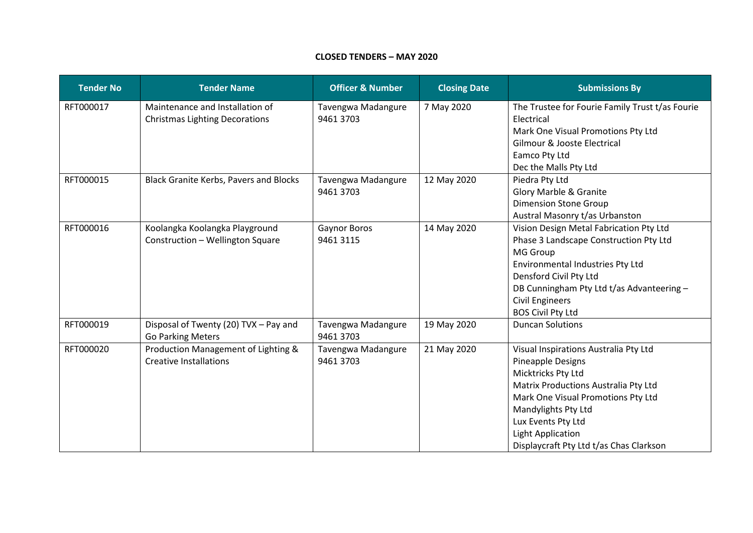## **CLOSED TENDERS – MAY 2020**

| <b>Tender No</b> | <b>Tender Name</b>                                                       | <b>Officer &amp; Number</b>     | <b>Closing Date</b> | <b>Submissions By</b>                                                                                                                                                                                                                                                              |
|------------------|--------------------------------------------------------------------------|---------------------------------|---------------------|------------------------------------------------------------------------------------------------------------------------------------------------------------------------------------------------------------------------------------------------------------------------------------|
| RFT000017        | Maintenance and Installation of<br><b>Christmas Lighting Decorations</b> | Tavengwa Madangure<br>9461 3703 | 7 May 2020          | The Trustee for Fourie Family Trust t/as Fourie<br>Electrical<br>Mark One Visual Promotions Pty Ltd<br>Gilmour & Jooste Electrical<br>Eamco Pty Ltd<br>Dec the Malls Pty Ltd                                                                                                       |
| RFT000015        | <b>Black Granite Kerbs, Pavers and Blocks</b>                            | Tavengwa Madangure<br>9461 3703 | 12 May 2020         | Piedra Pty Ltd<br>Glory Marble & Granite<br><b>Dimension Stone Group</b><br>Austral Masonry t/as Urbanston                                                                                                                                                                         |
| RFT000016        | Koolangka Koolangka Playground<br>Construction - Wellington Square       | Gaynor Boros<br>9461 3115       | 14 May 2020         | Vision Design Metal Fabrication Pty Ltd<br>Phase 3 Landscape Construction Pty Ltd<br>MG Group<br><b>Environmental Industries Pty Ltd</b><br>Densford Civil Pty Ltd<br>DB Cunningham Pty Ltd t/as Advanteering -<br><b>Civil Engineers</b><br><b>BOS Civil Pty Ltd</b>              |
| RFT000019        | Disposal of Twenty (20) TVX - Pay and<br><b>Go Parking Meters</b>        | Tavengwa Madangure<br>9461 3703 | 19 May 2020         | <b>Duncan Solutions</b>                                                                                                                                                                                                                                                            |
| RFT000020        | Production Management of Lighting &<br><b>Creative Installations</b>     | Tavengwa Madangure<br>9461 3703 | 21 May 2020         | Visual Inspirations Australia Pty Ltd<br>Pineapple Designs<br>Micktricks Pty Ltd<br>Matrix Productions Australia Pty Ltd<br>Mark One Visual Promotions Pty Ltd<br>Mandylights Pty Ltd<br>Lux Events Pty Ltd<br><b>Light Application</b><br>Displaycraft Pty Ltd t/as Chas Clarkson |